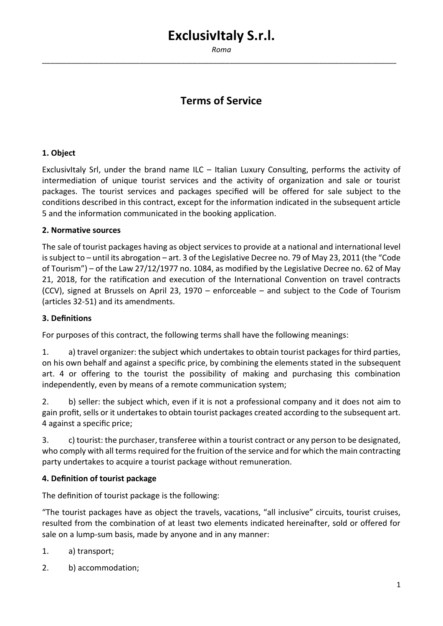*Roma* \_\_\_\_\_\_\_\_\_\_\_\_\_\_\_\_\_\_\_\_\_\_\_\_\_\_\_\_\_\_\_\_\_\_\_\_\_\_\_\_\_\_\_\_\_\_\_\_\_\_\_\_\_\_\_\_\_\_\_\_\_\_\_\_\_\_\_\_\_\_\_\_\_\_\_\_\_\_\_\_\_\_\_\_\_\_\_

# **Terms of Service**

#### **1. Object**

ExclusivItaly Srl, under the brand name ILC – Italian Luxury Consulting, performs the activity of intermediation of unique tourist services and the activity of organization and sale or tourist packages. The tourist services and packages specified will be offered for sale subject to the conditions described in this contract, except for the information indicated in the subsequent article 5 and the information communicated in the booking application.

#### **2. Normative sources**

The sale of tourist packages having as object services to provide at a national and international level is subject to – until its abrogation – art. 3 of the Legislative Decree no. 79 of May 23, 2011 (the "Code of Tourism") – of the Law 27/12/1977 no. 1084, as modified by the Legislative Decree no. 62 of May 21, 2018, for the ratification and execution of the International Convention on travel contracts (CCV), signed at Brussels on April 23, 1970 – enforceable – and subject to the Code of Tourism (articles 32-51) and its amendments.

#### **3. Definitions**

For purposes of this contract, the following terms shall have the following meanings:

1. a) travel organizer: the subject which undertakes to obtain tourist packages for third parties, on his own behalf and against a specific price, by combining the elements stated in the subsequent art. 4 or offering to the tourist the possibility of making and purchasing this combination independently, even by means of a remote communication system;

2. b) seller: the subject which, even if it is not a professional company and it does not aim to gain profit, sells or it undertakes to obtain tourist packages created according to the subsequent art. 4 against a specific price;

3. c) tourist: the purchaser, transferee within a tourist contract or any person to be designated, who comply with all terms required for the fruition of the service and for which the main contracting party undertakes to acquire a tourist package without remuneration.

#### **4. Definition of tourist package**

The definition of tourist package is the following:

"The tourist packages have as object the travels, vacations, "all inclusive" circuits, tourist cruises, resulted from the combination of at least two elements indicated hereinafter, sold or offered for sale on a lump-sum basis, made by anyone and in any manner:

- 1. a) transport;
- 2. b) accommodation;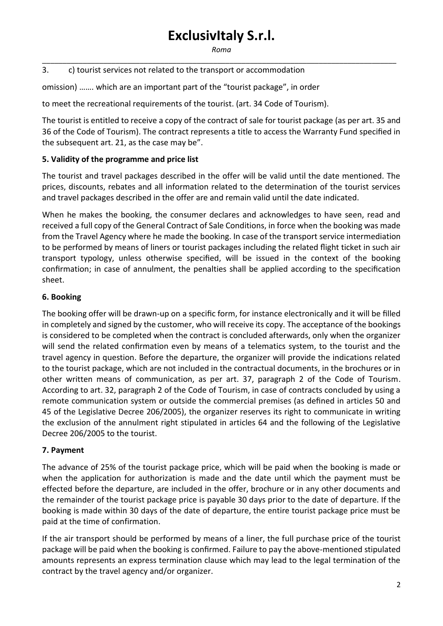*Roma* \_\_\_\_\_\_\_\_\_\_\_\_\_\_\_\_\_\_\_\_\_\_\_\_\_\_\_\_\_\_\_\_\_\_\_\_\_\_\_\_\_\_\_\_\_\_\_\_\_\_\_\_\_\_\_\_\_\_\_\_\_\_\_\_\_\_\_\_\_\_\_\_\_\_\_\_\_\_\_\_\_\_\_\_\_\_\_

### 3. c) tourist services not related to the transport or accommodation

omission) ……. which are an important part of the "tourist package", in order

to meet the recreational requirements of the tourist. (art. 34 Code of Tourism).

The tourist is entitled to receive a copy of the contract of sale for tourist package (as per art. 35 and 36 of the Code of Tourism). The contract represents a title to access the Warranty Fund specified in the subsequent art. 21, as the case may be".

#### **5. Validity of the programme and price list**

The tourist and travel packages described in the offer will be valid until the date mentioned. The prices, discounts, rebates and all information related to the determination of the tourist services and travel packages described in the offer are and remain valid until the date indicated.

When he makes the booking, the consumer declares and acknowledges to have seen, read and received a full copy of the General Contract of Sale Conditions, in force when the booking was made from the Travel Agency where he made the booking. In case of the transport service intermediation to be performed by means of liners or tourist packages including the related flight ticket in such air transport typology, unless otherwise specified, will be issued in the context of the booking confirmation; in case of annulment, the penalties shall be applied according to the specification sheet.

#### **6. Booking**

The booking offer will be drawn-up on a specific form, for instance electronically and it will be filled in completely and signed by the customer, who will receive its copy. The acceptance of the bookings is considered to be completed when the contract is concluded afterwards, only when the organizer will send the related confirmation even by means of a telematics system, to the tourist and the travel agency in question. Before the departure, the organizer will provide the indications related to the tourist package, which are not included in the contractual documents, in the brochures or in other written means of communication, as per art. 37, paragraph 2 of the Code of Tourism. According to art. 32, paragraph 2 of the Code of Tourism, in case of contracts concluded by using a remote communication system or outside the commercial premises (as defined in articles 50 and 45 of the Legislative Decree 206/2005), the organizer reserves its right to communicate in writing the exclusion of the annulment right stipulated in articles 64 and the following of the Legislative Decree 206/2005 to the tourist.

### **7. Payment**

The advance of 25% of the tourist package price, which will be paid when the booking is made or when the application for authorization is made and the date until which the payment must be effected before the departure, are included in the offer, brochure or in any other documents and the remainder of the tourist package price is payable 30 days prior to the date of departure. If the booking is made within 30 days of the date of departure, the entire tourist package price must be paid at the time of confirmation.

If the air transport should be performed by means of a liner, the full purchase price of the tourist package will be paid when the booking is confirmed. Failure to pay the above-mentioned stipulated amounts represents an express termination clause which may lead to the legal termination of the contract by the travel agency and/or organizer.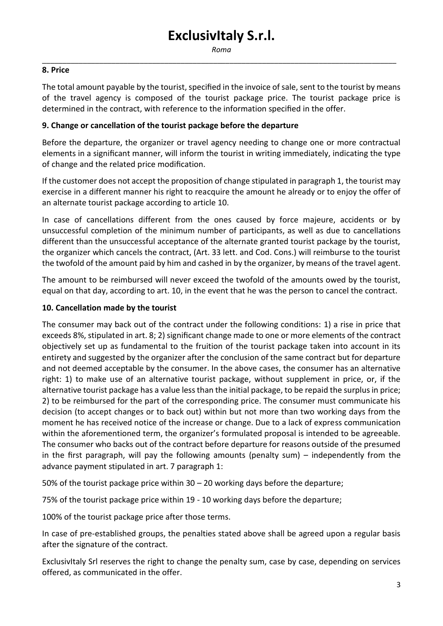*Roma* \_\_\_\_\_\_\_\_\_\_\_\_\_\_\_\_\_\_\_\_\_\_\_\_\_\_\_\_\_\_\_\_\_\_\_\_\_\_\_\_\_\_\_\_\_\_\_\_\_\_\_\_\_\_\_\_\_\_\_\_\_\_\_\_\_\_\_\_\_\_\_\_\_\_\_\_\_\_\_\_\_\_\_\_\_\_\_

#### **8. Price**

The total amount payable by the tourist, specified in the invoice of sale, sent to the tourist by means of the travel agency is composed of the tourist package price. The tourist package price is determined in the contract, with reference to the information specified in the offer.

#### **9. Change or cancellation of the tourist package before the departure**

Before the departure, the organizer or travel agency needing to change one or more contractual elements in a significant manner, will inform the tourist in writing immediately, indicating the type of change and the related price modification.

If the customer does not accept the proposition of change stipulated in paragraph 1, the tourist may exercise in a different manner his right to reacquire the amount he already or to enjoy the offer of an alternate tourist package according to article 10.

In case of cancellations different from the ones caused by force majeure, accidents or by unsuccessful completion of the minimum number of participants, as well as due to cancellations different than the unsuccessful acceptance of the alternate granted tourist package by the tourist, the organizer which cancels the contract, (Art. 33 lett. and Cod. Cons.) will reimburse to the tourist the twofold of the amount paid by him and cashed in by the organizer, by means of the travel agent.

The amount to be reimbursed will never exceed the twofold of the amounts owed by the tourist, equal on that day, according to art. 10, in the event that he was the person to cancel the contract.

#### **10. Cancellation made by the tourist**

The consumer may back out of the contract under the following conditions: 1) a rise in price that exceeds 8%, stipulated in art. 8; 2) significant change made to one or more elements of the contract objectively set up as fundamental to the fruition of the tourist package taken into account in its entirety and suggested by the organizer after the conclusion of the same contract but for departure and not deemed acceptable by the consumer. In the above cases, the consumer has an alternative right: 1) to make use of an alternative tourist package, without supplement in price, or, if the alternative tourist package has a value less than the initial package, to be repaid the surplus in price; 2) to be reimbursed for the part of the corresponding price. The consumer must communicate his decision (to accept changes or to back out) within but not more than two working days from the moment he has received notice of the increase or change. Due to a lack of express communication within the aforementioned term, the organizer's formulated proposal is intended to be agreeable. The consumer who backs out of the contract before departure for reasons outside of the presumed in the first paragraph, will pay the following amounts (penalty sum) – independently from the advance payment stipulated in art. 7 paragraph 1:

50% of the tourist package price within 30 – 20 working days before the departure;

75% of the tourist package price within 19 - 10 working days before the departure;

100% of the tourist package price after those terms.

In case of pre-established groups, the penalties stated above shall be agreed upon a regular basis after the signature of the contract.

ExclusivItaly Srl reserves the right to change the penalty sum, case by case, depending on services offered, as communicated in the offer.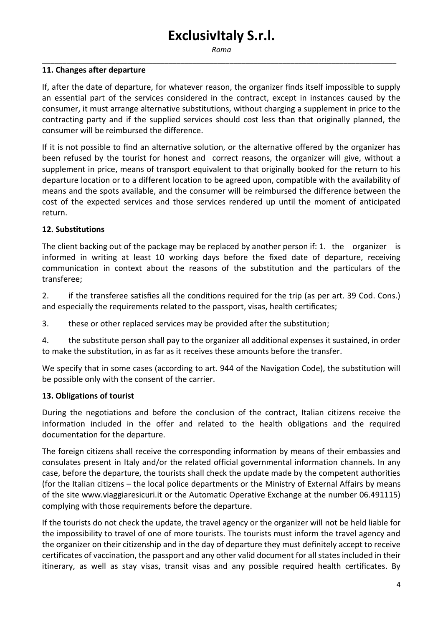*Roma* \_\_\_\_\_\_\_\_\_\_\_\_\_\_\_\_\_\_\_\_\_\_\_\_\_\_\_\_\_\_\_\_\_\_\_\_\_\_\_\_\_\_\_\_\_\_\_\_\_\_\_\_\_\_\_\_\_\_\_\_\_\_\_\_\_\_\_\_\_\_\_\_\_\_\_\_\_\_\_\_\_\_\_\_\_\_\_

#### **11. Changes after departure**

If, after the date of departure, for whatever reason, the organizer finds itself impossible to supply an essential part of the services considered in the contract, except in instances caused by the consumer, it must arrange alternative substitutions, without charging a supplement in price to the contracting party and if the supplied services should cost less than that originally planned, the consumer will be reimbursed the difference.

If it is not possible to find an alternative solution, or the alternative offered by the organizer has been refused by the tourist for honest and correct reasons, the organizer will give, without a supplement in price, means of transport equivalent to that originally booked for the return to his departure location or to a different location to be agreed upon, compatible with the availability of means and the spots available, and the consumer will be reimbursed the difference between the cost of the expected services and those services rendered up until the moment of anticipated return.

#### **12. Substitutions**

The client backing out of the package may be replaced by another person if: 1. the organizer is informed in writing at least 10 working days before the fixed date of departure, receiving communication in context about the reasons of the substitution and the particulars of the transferee;

2. if the transferee satisfies all the conditions required for the trip (as per art. 39 Cod. Cons.) and especially the requirements related to the passport, visas, health certificates;

3. these or other replaced services may be provided after the substitution;

4. the substitute person shall pay to the organizer all additional expenses it sustained, in order to make the substitution, in as far as it receives these amounts before the transfer.

We specify that in some cases (according to art. 944 of the Navigation Code), the substitution will be possible only with the consent of the carrier.

#### **13. Obligations of tourist**

During the negotiations and before the conclusion of the contract, Italian citizens receive the information included in the offer and related to the health obligations and the required documentation for the departure.

The foreign citizens shall receive the corresponding information by means of their embassies and consulates present in Italy and/or the related official governmental information channels. In any case, before the departure, the tourists shall check the update made by the competent authorities (for the Italian citizens – the local police departments or the Ministry of External Affairs by means of the site www.viaggiaresicuri.it or the Automatic Operative Exchange at the number 06.491115) complying with those requirements before the departure.

If the tourists do not check the update, the travel agency or the organizer will not be held liable for the impossibility to travel of one of more tourists. The tourists must inform the travel agency and the organizer on their citizenship and in the day of departure they must definitely accept to receive certificates of vaccination, the passport and any other valid document for all states included in their itinerary, as well as stay visas, transit visas and any possible required health certificates. By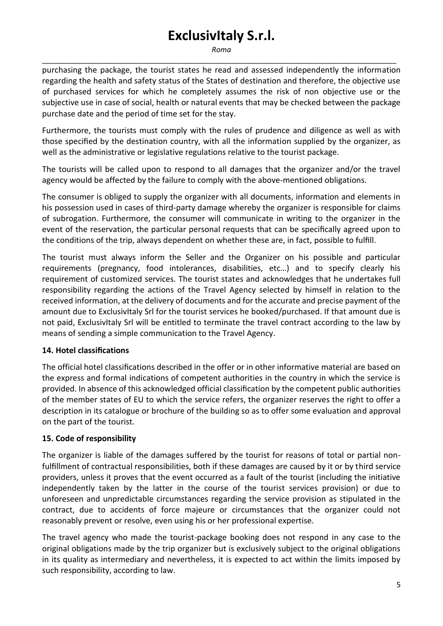*Roma* \_\_\_\_\_\_\_\_\_\_\_\_\_\_\_\_\_\_\_\_\_\_\_\_\_\_\_\_\_\_\_\_\_\_\_\_\_\_\_\_\_\_\_\_\_\_\_\_\_\_\_\_\_\_\_\_\_\_\_\_\_\_\_\_\_\_\_\_\_\_\_\_\_\_\_\_\_\_\_\_\_\_\_\_\_\_\_

purchasing the package, the tourist states he read and assessed independently the information regarding the health and safety status of the States of destination and therefore, the objective use of purchased services for which he completely assumes the risk of non objective use or the subjective use in case of social, health or natural events that may be checked between the package purchase date and the period of time set for the stay.

Furthermore, the tourists must comply with the rules of prudence and diligence as well as with those specified by the destination country, with all the information supplied by the organizer, as well as the administrative or legislative regulations relative to the tourist package.

The tourists will be called upon to respond to all damages that the organizer and/or the travel agency would be affected by the failure to comply with the above-mentioned obligations.

The consumer is obliged to supply the organizer with all documents, information and elements in his possession used in cases of third-party damage whereby the organizer is responsible for claims of subrogation. Furthermore, the consumer will communicate in writing to the organizer in the event of the reservation, the particular personal requests that can be specifically agreed upon to the conditions of the trip, always dependent on whether these are, in fact, possible to fulfill.

The tourist must always inform the Seller and the Organizer on his possible and particular requirements (pregnancy, food intolerances, disabilities, etc…) and to specify clearly his requirement of customized services. The tourist states and acknowledges that he undertakes full responsibility regarding the actions of the Travel Agency selected by himself in relation to the received information, at the delivery of documents and for the accurate and precise payment of the amount due to ExclusivItaly Srl for the tourist services he booked/purchased. If that amount due is not paid, ExclusivItaly Srl will be entitled to terminate the travel contract according to the law by means of sending a simple communication to the Travel Agency.

## **14. Hotel classifications**

The official hotel classifications described in the offer or in other informative material are based on the express and formal indications of competent authorities in the country in which the service is provided. In absence of this acknowledged official classification by the competent public authorities of the member states of EU to which the service refers, the organizer reserves the right to offer a description in its catalogue or brochure of the building so as to offer some evaluation and approval on the part of the tourist.

### **15. Code of responsibility**

The organizer is liable of the damages suffered by the tourist for reasons of total or partial nonfulfillment of contractual responsibilities, both if these damages are caused by it or by third service providers, unless it proves that the event occurred as a fault of the tourist (including the initiative independently taken by the latter in the course of the tourist services provision) or due to unforeseen and unpredictable circumstances regarding the service provision as stipulated in the contract, due to accidents of force majeure or circumstances that the organizer could not reasonably prevent or resolve, even using his or her professional expertise.

The travel agency who made the tourist-package booking does not respond in any case to the original obligations made by the trip organizer but is exclusively subject to the original obligations in its quality as intermediary and nevertheless, it is expected to act within the limits imposed by such responsibility, according to law.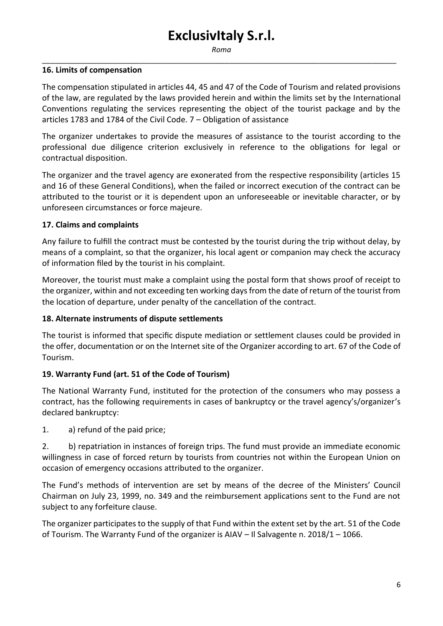*Roma* \_\_\_\_\_\_\_\_\_\_\_\_\_\_\_\_\_\_\_\_\_\_\_\_\_\_\_\_\_\_\_\_\_\_\_\_\_\_\_\_\_\_\_\_\_\_\_\_\_\_\_\_\_\_\_\_\_\_\_\_\_\_\_\_\_\_\_\_\_\_\_\_\_\_\_\_\_\_\_\_\_\_\_\_\_\_\_

#### **16. Limits of compensation**

The compensation stipulated in articles 44, 45 and 47 of the Code of Tourism and related provisions of the law, are regulated by the laws provided herein and within the limits set by the International Conventions regulating the services representing the object of the tourist package and by the articles 1783 and 1784 of the Civil Code. 7 – Obligation of assistance

The organizer undertakes to provide the measures of assistance to the tourist according to the professional due diligence criterion exclusively in reference to the obligations for legal or contractual disposition.

The organizer and the travel agency are exonerated from the respective responsibility (articles 15 and 16 of these General Conditions), when the failed or incorrect execution of the contract can be attributed to the tourist or it is dependent upon an unforeseeable or inevitable character, or by unforeseen circumstances or force majeure.

### **17. Claims and complaints**

Any failure to fulfill the contract must be contested by the tourist during the trip without delay, by means of a complaint, so that the organizer, his local agent or companion may check the accuracy of information filed by the tourist in his complaint.

Moreover, the tourist must make a complaint using the postal form that shows proof of receipt to the organizer, within and not exceeding ten working days from the date of return of the tourist from the location of departure, under penalty of the cancellation of the contract.

### **18. Alternate instruments of dispute settlements**

The tourist is informed that specific dispute mediation or settlement clauses could be provided in the offer, documentation or on the Internet site of the Organizer according to art. 67 of the Code of Tourism.

### **19. Warranty Fund (art. 51 of the Code of Tourism)**

The National Warranty Fund, instituted for the protection of the consumers who may possess a contract, has the following requirements in cases of bankruptcy or the travel agency's/organizer's declared bankruptcy:

1. a) refund of the paid price;

2. b) repatriation in instances of foreign trips. The fund must provide an immediate economic willingness in case of forced return by tourists from countries not within the European Union on occasion of emergency occasions attributed to the organizer.

The Fund's methods of intervention are set by means of the decree of the Ministers' Council Chairman on July 23, 1999, no. 349 and the reimbursement applications sent to the Fund are not subject to any forfeiture clause.

The organizer participates to the supply of that Fund within the extent set by the art. 51 of the Code of Tourism. The Warranty Fund of the organizer is AIAV – Il Salvagente n. 2018/1 – 1066.